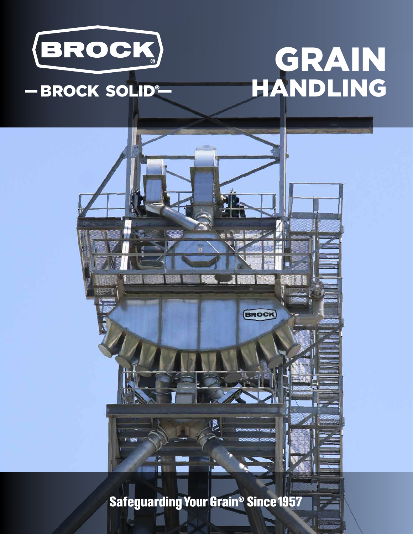

# - BROCK SOLID®

# GRAIN HANDLING



**Safeguarding Your Grain<sup>®</sup> Since 1957**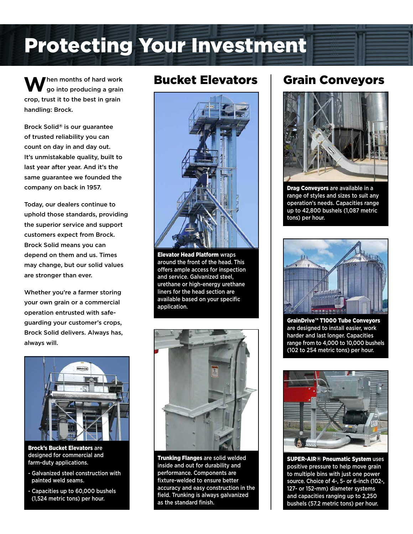# Protecting Your Investment

When months of hard work<br>go into producing a grain crop, trust it to the best in grain handling: Brock.

Brock Solid® is our guarantee of trusted reliability you can count on day in and day out. It's unmistakable quality, built to last year after year. And it's the same guarantee we founded the company on back in 1957.

Today, our dealers continue to uphold those standards, providing the superior service and support customers expect from Brock. Brock Solid means you can depend on them and us. Times may change, but our solid values are stronger than ever.

Whether you're a farmer storing your own grain or a commercial operation entrusted with safeguarding your customer's crops, Brock Solid delivers. Always has, always will.



Brock's Bucket Elevators are designed for commercial and farm-duty applications.

- Galvanized steel construction with painted weld seams.
- Capacities up to 60,000 bushels (1,524 metric tons) per hour.



**Elevator Head Platform wraps** around the front of the head. This offers ample access for inspection and service. Galvanized steel, urethane or high-energy urethane liners for the head section are available based on your specific application.



Trunking Flanges are solid welded inside and out for durability and performance. Components are fixture-welded to ensure better accuracy and easy construction in the field. Trunking is always galvanized as the standard finish.

# Bucket Elevators | Grain Conveyors



Drag Conveyors are available in a range of styles and sizes to suit any operation's needs. Capacities range up to 42,800 bushels (1,087 metric tons) per hour.



GrainDrive™ T1000 Tube Conveyors are designed to install easier, work harder and last longer. Capacities range from to 4,000 to 10,000 bushels (102 to 254 metric tons) per hour.



SUPER-AIR® Pneumatic System uses positive pressure to help move grain to multiple bins with just one power source. Choice of 4-, 5- or 6-inch (102-, 127- or 152-mm) diameter systems and capacities ranging up to 2,250 bushels (57.2 metric tons) per hour.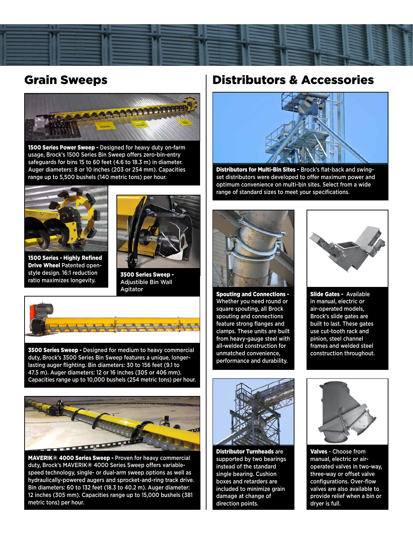

## Grain Sweeps



1500 Series Power Sweep - Designed for heavy duty on-farm usage, Brock's 1500 Series Bin Sweep offers zero-bin-entry safeguards for bins 15 to 60 feet (4.6 to 18.3 m) in diameter. Auger diameters: 8 or 10 inches (203 or 254 mm). Capacities range up to 5,500 bushels (140 metric tons) per hour.



1500 Series - Highly Refined Drive Wheel Patented openstyle design. 16:1 reduction ratio maximizes longevity.



3500 Series Sweep - Adjustible Bin Wall Agitator



3500 Series Sweep - Designed for medium to heavy commercial duty, Brock's 3500 Series Bin Sweep features a unique, longerlasting auger flighting. Bin diameters: 30 to 156 feet (9.1 to 47.5 m). Auger diameters: 12 or 16 inches (305 or 406 mm). Capacities range up to 10,000 bushels (254 metric tons) per hour.



MAVERIK® 4000 Series Sweep - Proven for heavy commercial duty, Brock's MAVERIK® 4000 Series Sweep offers variablespeed technology, single- or dual-arm sweep options as well as hydraulically-powered augers and sprocket-and-ring track drive. Bin diameters: 60 to 132 feet (18.3 to 40.2 m). Auger diameter: 12 inches (305 mm). Capacities range up to 15,000 bushels (381 metric tons) per hour.

### Distributors & Accessories



Distributors for Multi-Bin Sites - Brock's flat-back and swingset distributors were developed to offer maximum power and optimum convenience on multi-bin sites. Select from a wide range of standard sizes to meet your specifications.



Spouting and Connections - Whether you need round or square spouting, all Brock spouting and connections feature strong flanges and clamps. These units are built from heavy-gauge steel with all-welded construction for unmatched convenience, performance and durability.



Slide Gates - Available in manual, electric or air-operated models, Brock's slide gates are built to last. These gates use cut-tooth rack and pinion, steel channel frames and welded steel construction throughout.



**Distributor Turnheads are** supported by two bearings instead of the standard single bearing. Cushion boxes and retarders are included to minimize grain damage at change of direction points.



Valves - Choose from manual, electric or airoperated valves in two-way, three-way or offset valve configurations. Over-flow valves are also available to provide relief when a bin or dryer is full.